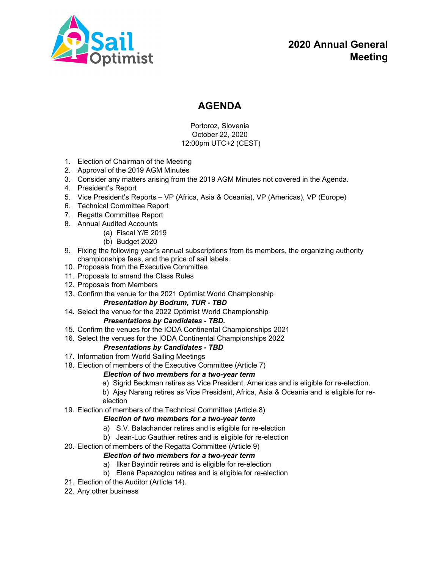

# **2020 Annual General Meeting**

# **AGENDA**

Portoroz, Slovenia October 22, 2020 12:00pm UTC+2 (CEST)

- 1. Election of Chairman of the Meeting
- 2. Approval of the 2019 AGM Minutes
- 3. Consider any matters arising from the 2019 AGM Minutes not covered in the Agenda.
- 4. President's Report
- 5. Vice President's Reports VP (Africa, Asia & Oceania), VP (Americas), VP (Europe)
- 6. Technical Committee Report
- 7. Regatta Committee Report
- 8. Annual Audited Accounts
	- (a) Fiscal Y/E 2019
	- (b) Budget 2020
- 9. Fixing the following year's annual subscriptions from its members, the organizing authority championships fees, and the price of sail labels.
- 10. Proposals from the Executive Committee
- 11. Proposals to amend the Class Rules
- 12. Proposals from Members
- 13. Confirm the venue for the 2021 Optimist World Championship

## *Presentation by Bodrum, TUR - TBD*

14. Select the venue for the 2022 Optimist World Championship

## *Presentations by Candidates - TBD.*

- 15. Confirm the venues for the IODA Continental Championships 2021
- 16. Select the venues for the IODA Continental Championships 2022

## *Presentations by Candidates - TBD*

- 17. Information from World Sailing Meetings
- 18. Election of members of the Executive Committee (Article 7)

## *Election of two members for a two-year term*

a) Sigrid Beckman retires as Vice President, Americas and is eligible for re-election.

b) Ajay Narang retires as Vice President, Africa, Asia & Oceania and is eligible for reelection

19. Election of members of the Technical Committee (Article 8)

## *Election of two members for a two-year term*

- a) S.V. Balachander retires and is eligible for re-election
- b) Jean-Luc Gauthier retires and is eligible for re-election
- 20. Election of members of the Regatta Committee (Article 9)

## *Election of two members for a two-year term*

- a) Ilker Bayindir retires and is eligible for re-election
- b) Elena Papazoglou retires and is eligible for re-election
- 21. Election of the Auditor (Article 14).
- 22. Any other business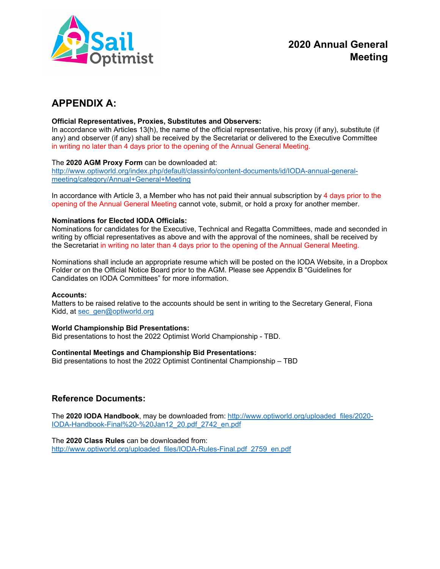

# **APPENDIX A:**

### **Official Representatives, Proxies, Substitutes and Observers:**

In accordance with Articles 13(h), the name of the official representative, his proxy (if any), substitute (if any) and observer (if any) shall be received by the Secretariat or delivered to the Executive Committee in writing no later than 4 days prior to the opening of the Annual General Meeting.

#### The **2020 AGM Proxy Form** can be downloaded at:

[http://www.optiworld.org/index.php/default/classinfo/content-documents/id/IODA-annual-general](http://www.optiworld.org/index.php/default/classinfo/content-documents/id/IODA-annual-general-meeting/category/Annual+General+Meeting)[meeting/category/Annual+General+Meeting](http://www.optiworld.org/index.php/default/classinfo/content-documents/id/IODA-annual-general-meeting/category/Annual+General+Meeting)

In accordance with Article 3, a Member who has not paid their annual subscription by 4 days prior to the opening of the Annual General Meeting cannot vote, submit, or hold a proxy for another member.

#### **Nominations for Elected IODA Officials:**

Nominations for candidates for the Executive, Technical and Regatta Committees, made and seconded in writing by official representatives as above and with the approval of the nominees, shall be received by the Secretariat in writing no later than 4 days prior to the opening of the Annual General Meeting.

Nominations shall include an appropriate resume which will be posted on the IODA Website, in a Dropbox Folder or on the Official Notice Board prior to the AGM. Please see Appendix B "Guidelines for Candidates on IODA Committees" for more information.

#### **Accounts:**

Matters to be raised relative to the accounts should be sent in writing to the Secretary General, Fiona Kidd, at [sec\\_gen@optiworld.org](mailto:sec_gen@optiworld.org)

## **World Championship Bid Presentations:**

Bid presentations to host the 2022 Optimist World Championship - TBD.

## **Continental Meetings and Championship Bid Presentations:**

Bid presentations to host the 2022 Optimist Continental Championship – TBD

## **Reference Documents:**

The **2020 IODA Handbook**, may be downloaded from: [http://www.optiworld.org/uploaded\\_files/2020-](http://www.optiworld.org/uploaded_files/2020-IODA-Handbook-Final%20-%20Jan12_20.pdf_2742_en.pdf) [IODA-Handbook-Final%20-%20Jan12\\_20.pdf\\_2742\\_en.pdf](http://www.optiworld.org/uploaded_files/2020-IODA-Handbook-Final%20-%20Jan12_20.pdf_2742_en.pdf)

The **2020 Class Rules** can be downloaded from: [http://www.optiworld.org/uploaded\\_files/IODA-Rules-Final.pdf\\_2759\\_en.pdf](http://www.optiworld.org/uploaded_files/IODA-Rules-Final.pdf_2759_en.pdf)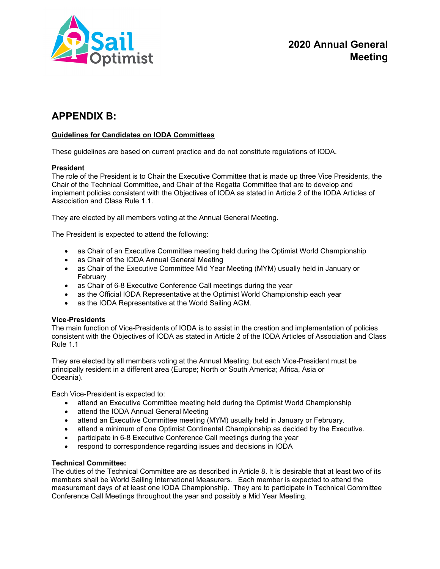

# **APPENDIX B:**

## **Guidelines for Candidates on IODA Committees**

These guidelines are based on current practice and do not constitute regulations of IODA.

#### **President**

The role of the President is to Chair the Executive Committee that is made up three Vice Presidents, the Chair of the Technical Committee, and Chair of the Regatta Committee that are to develop and implement policies consistent with the Objectives of IODA as stated in Article 2 of the IODA Articles of Association and Class Rule 1.1.

They are elected by all members voting at the Annual General Meeting.

The President is expected to attend the following:

- as Chair of an Executive Committee meeting held during the Optimist World Championship
- as Chair of the IODA Annual General Meeting
- as Chair of the Executive Committee Mid Year Meeting (MYM) usually held in January or February
- as Chair of 6-8 Executive Conference Call meetings during the year
- as the Official IODA Representative at the Optimist World Championship each year
- as the IODA Representative at the World Sailing AGM.

## **Vice-Presidents**

The main function of Vice-Presidents of IODA is to assist in the creation and implementation of policies consistent with the Objectives of IODA as stated in Article 2 of the IODA Articles of Association and Class Rule 1.1

They are elected by all members voting at the Annual Meeting, but each Vice-President must be principally resident in a different area (Europe; North or South America; Africa, Asia or Oceania).

Each Vice-President is expected to:

- attend an Executive Committee meeting held during the Optimist World Championship
- attend the IODA Annual General Meeting
- attend an Executive Committee meeting (MYM) usually held in January or February.
- attend a minimum of one Optimist Continental Championship as decided by the Executive.
- participate in 6-8 Executive Conference Call meetings during the year
- respond to correspondence regarding issues and decisions in IODA

#### **Technical Committee:**

The duties of the Technical Committee are as described in Article 8. It is desirable that at least two of its members shall be World Sailing International Measurers. Each member is expected to attend the measurement days of at least one IODA Championship. They are to participate in Technical Committee Conference Call Meetings throughout the year and possibly a Mid Year Meeting.